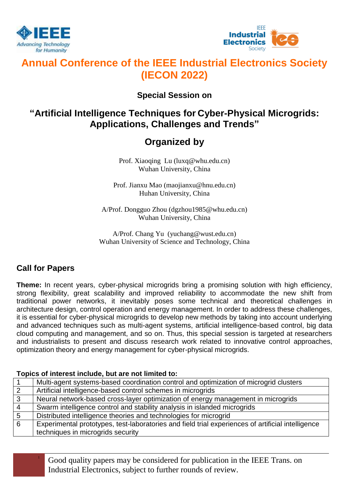



# **Annual Conference of the IEEE Industrial Electronics Society (IECON 2022)**

## **Special Session on**

## **"Artificial Intelligence Techniques for Cyber-Physical Microgrids: Applications, Challenges and Trends"**

## **Organized by**

Prof. Xiaoqing Lu (luxq@whu.edu.cn) Wuhan University, China

Prof. Jianxu Mao (maojianxu@hnu.edu.cn) Huhan University, China

A/Prof. Dongguo Zhou [\(dgzhou1985@whu.edu.cn\)](mailto:dgzhou1985@whu.edu.cn) Wuhan University, China

A/Prof. Chang Yu [\(yuchang@wust.edu.cn\)](mailto:yuchang@wust.edu.cn) Wuhan University of Science and Technology, China

### **Call for Papers**

**Theme:** In recent years, cyber-physical microgrids bring a promising solution with high efficiency, strong flexibility, great scalability and improved reliability to accommodate the new shift from traditional power networks, it inevitably poses some technical and theoretical challenges in architecture design, control operation and energy management. In order to address these challenges, it is essential for cyber-physical microgrids to develop new methods by taking into account underlying and advanced techniques such as multi-agent systems, artificial intelligence-based control, big data cloud computing and management, and so on. Thus, this special session is targeted at researchers and industrialists to present and discuss research work related to innovative control approaches, optimization theory and energy management for cyber-physical microgrids.

### **Topics of interest include, but are not limited to:**

|                | Multi-agent systems-based coordination control and optimization of microgrid clusters             |
|----------------|---------------------------------------------------------------------------------------------------|
| $\overline{2}$ | Artificial intelligence-based control schemes in microgrids                                       |
| $\mathbf{3}$   | Neural network-based cross-layer optimization of energy management in microgrids                  |
| $\overline{4}$ | Swarm intelligence control and stability analysis in islanded microgrids                          |
| 5              | Distributed intelligence theories and technologies for microgrid                                  |
| 6              | Experimental prototypes, test-laboratories and field trial experiences of artificial intelligence |
|                | techniques in microgrids security                                                                 |

<sup>1</sup> Good quality papers may be considered for publication in the IEEE Trans. on Industrial Electronics, subject to further rounds of review.